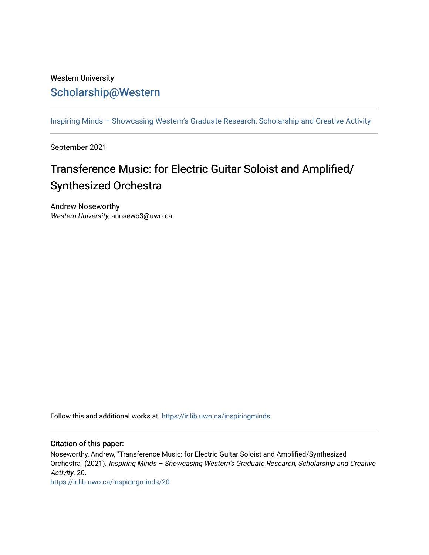## Western University [Scholarship@Western](https://ir.lib.uwo.ca/)

[Inspiring Minds – Showcasing Western's Graduate Research, Scholarship and Creative Activity](https://ir.lib.uwo.ca/inspiringminds) 

September 2021

# Transference Music: for Electric Guitar Soloist and Amplified/ Synthesized Orchestra

Andrew Noseworthy Western University, anosewo3@uwo.ca

Follow this and additional works at: [https://ir.lib.uwo.ca/inspiringminds](https://ir.lib.uwo.ca/inspiringminds?utm_source=ir.lib.uwo.ca%2Finspiringminds%2F20&utm_medium=PDF&utm_campaign=PDFCoverPages) 

#### Citation of this paper:

Noseworthy, Andrew, "Transference Music: for Electric Guitar Soloist and Amplified/Synthesized Orchestra" (2021). Inspiring Minds – Showcasing Western's Graduate Research, Scholarship and Creative Activity. 20.

[https://ir.lib.uwo.ca/inspiringminds/20](https://ir.lib.uwo.ca/inspiringminds/20?utm_source=ir.lib.uwo.ca%2Finspiringminds%2F20&utm_medium=PDF&utm_campaign=PDFCoverPages)